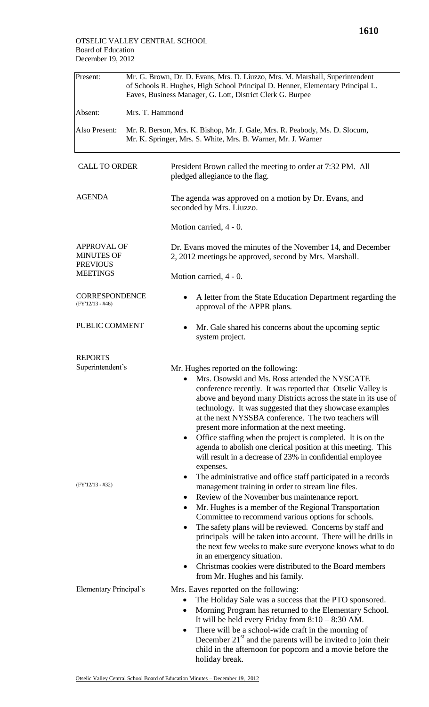| Present:                                                   | Mr. G. Brown, Dr. D. Evans, Mrs. D. Liuzzo, Mrs. M. Marshall, Superintendent<br>of Schools R. Hughes, High School Principal D. Henner, Elementary Principal L.<br>Eaves, Business Manager, G. Lott, District Clerk G. Burpee |                                                                                                                                                                                                                                                                                                                                                                                                                                                                                                                                                                                                                                                                                                                                             |  |  |  |
|------------------------------------------------------------|------------------------------------------------------------------------------------------------------------------------------------------------------------------------------------------------------------------------------|---------------------------------------------------------------------------------------------------------------------------------------------------------------------------------------------------------------------------------------------------------------------------------------------------------------------------------------------------------------------------------------------------------------------------------------------------------------------------------------------------------------------------------------------------------------------------------------------------------------------------------------------------------------------------------------------------------------------------------------------|--|--|--|
| Absent:                                                    | Mrs. T. Hammond                                                                                                                                                                                                              |                                                                                                                                                                                                                                                                                                                                                                                                                                                                                                                                                                                                                                                                                                                                             |  |  |  |
| Also Present:                                              |                                                                                                                                                                                                                              | Mr. R. Berson, Mrs. K. Bishop, Mr. J. Gale, Mrs. R. Peabody, Ms. D. Slocum,<br>Mr. K. Springer, Mrs. S. White, Mrs. B. Warner, Mr. J. Warner                                                                                                                                                                                                                                                                                                                                                                                                                                                                                                                                                                                                |  |  |  |
| <b>CALL TO ORDER</b>                                       |                                                                                                                                                                                                                              | President Brown called the meeting to order at 7:32 PM. All<br>pledged allegiance to the flag.                                                                                                                                                                                                                                                                                                                                                                                                                                                                                                                                                                                                                                              |  |  |  |
| <b>AGENDA</b>                                              |                                                                                                                                                                                                                              | The agenda was approved on a motion by Dr. Evans, and<br>seconded by Mrs. Liuzzo.                                                                                                                                                                                                                                                                                                                                                                                                                                                                                                                                                                                                                                                           |  |  |  |
|                                                            |                                                                                                                                                                                                                              | Motion carried, 4 - 0.                                                                                                                                                                                                                                                                                                                                                                                                                                                                                                                                                                                                                                                                                                                      |  |  |  |
| <b>APPROVAL OF</b><br><b>MINUTES OF</b><br><b>PREVIOUS</b> |                                                                                                                                                                                                                              | Dr. Evans moved the minutes of the November 14, and December<br>2, 2012 meetings be approved, second by Mrs. Marshall.                                                                                                                                                                                                                                                                                                                                                                                                                                                                                                                                                                                                                      |  |  |  |
| <b>MEETINGS</b>                                            |                                                                                                                                                                                                                              | Motion carried, 4 - 0.                                                                                                                                                                                                                                                                                                                                                                                                                                                                                                                                                                                                                                                                                                                      |  |  |  |
| <b>CORRESPONDENCE</b><br>$(FY'12/13 - #46)$                |                                                                                                                                                                                                                              | A letter from the State Education Department regarding the<br>approval of the APPR plans.                                                                                                                                                                                                                                                                                                                                                                                                                                                                                                                                                                                                                                                   |  |  |  |
| PUBLIC COMMENT                                             |                                                                                                                                                                                                                              | Mr. Gale shared his concerns about the upcoming septic<br>system project.                                                                                                                                                                                                                                                                                                                                                                                                                                                                                                                                                                                                                                                                   |  |  |  |
| <b>REPORTS</b>                                             |                                                                                                                                                                                                                              |                                                                                                                                                                                                                                                                                                                                                                                                                                                                                                                                                                                                                                                                                                                                             |  |  |  |
| Superintendent's<br>$(FY'12/13 - #32)$                     |                                                                                                                                                                                                                              | Mr. Hughes reported on the following:<br>Mrs. Osowski and Ms. Ross attended the NYSCATE<br>conference recently. It was reported that Otselic Valley is<br>above and beyond many Districts across the state in its use of<br>technology. It was suggested that they showcase examples<br>at the next NYSSBA conference. The two teachers will<br>present more information at the next meeting.<br>Office staffing when the project is completed. It is on the<br>agenda to abolish one clerical position at this meeting. This<br>will result in a decrease of 23% in confidential employee<br>expenses.<br>The administrative and office staff participated in a records<br>$\bullet$<br>management training in order to stream line files. |  |  |  |
|                                                            |                                                                                                                                                                                                                              | Review of the November bus maintenance report.<br>٠<br>Mr. Hughes is a member of the Regional Transportation<br>٠<br>Committee to recommend various options for schools.<br>The safety plans will be reviewed. Concerns by staff and<br>٠<br>principals will be taken into account. There will be drills in<br>the next few weeks to make sure everyone knows what to do<br>in an emergency situation.<br>Christmas cookies were distributed to the Board members<br>٠<br>from Mr. Hughes and his family.                                                                                                                                                                                                                                   |  |  |  |
| <b>Elementary Principal's</b>                              |                                                                                                                                                                                                                              | Mrs. Eaves reported on the following:<br>The Holiday Sale was a success that the PTO sponsored.<br>Morning Program has returned to the Elementary School.<br>It will be held every Friday from $8:10 - 8:30$ AM.<br>There will be a school-wide craft in the morning of<br>$\bullet$<br>December $21st$ and the parents will be invited to join their<br>child in the afternoon for popcorn and a movie before the<br>holiday break.                                                                                                                                                                                                                                                                                                        |  |  |  |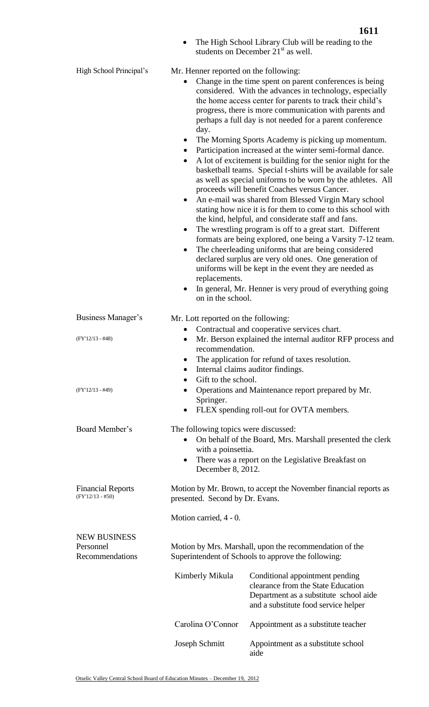• The High School Library Club will be reading to the

|                                                     |                                                                                                                                                                                                                                                                                                                                                                                                                                                                                                                                                                                                                                                                                                                                                                                                                                                                                                                                                                                                                                                                                                                                                                                                                                                                                                                                                                                       | students on December 21 <sup>st</sup> as well.                                                                                                          |  |  |
|-----------------------------------------------------|---------------------------------------------------------------------------------------------------------------------------------------------------------------------------------------------------------------------------------------------------------------------------------------------------------------------------------------------------------------------------------------------------------------------------------------------------------------------------------------------------------------------------------------------------------------------------------------------------------------------------------------------------------------------------------------------------------------------------------------------------------------------------------------------------------------------------------------------------------------------------------------------------------------------------------------------------------------------------------------------------------------------------------------------------------------------------------------------------------------------------------------------------------------------------------------------------------------------------------------------------------------------------------------------------------------------------------------------------------------------------------------|---------------------------------------------------------------------------------------------------------------------------------------------------------|--|--|
| High School Principal's                             | Mr. Henner reported on the following:<br>Change in the time spent on parent conferences is being<br>considered. With the advances in technology, especially<br>the home access center for parents to track their child's<br>progress, there is more communication with parents and<br>perhaps a full day is not needed for a parent conference<br>day.<br>The Morning Sports Academy is picking up momentum.<br>٠<br>Participation increased at the winter semi-formal dance.<br>$\bullet$<br>A lot of excitement is building for the senior night for the<br>$\bullet$<br>basketball teams. Special t-shirts will be available for sale<br>as well as special uniforms to be worn by the athletes. All<br>proceeds will benefit Coaches versus Cancer.<br>An e-mail was shared from Blessed Virgin Mary school<br>$\bullet$<br>stating how nice it is for them to come to this school with<br>the kind, helpful, and considerate staff and fans.<br>The wrestling program is off to a great start. Different<br>$\bullet$<br>formats are being explored, one being a Varsity 7-12 team.<br>The cheerleading uniforms that are being considered<br>٠<br>declared surplus are very old ones. One generation of<br>uniforms will be kept in the event they are needed as<br>replacements.<br>In general, Mr. Henner is very proud of everything going<br>$\bullet$<br>on in the school. |                                                                                                                                                         |  |  |
| Business Manager's                                  | Mr. Lott reported on the following:                                                                                                                                                                                                                                                                                                                                                                                                                                                                                                                                                                                                                                                                                                                                                                                                                                                                                                                                                                                                                                                                                                                                                                                                                                                                                                                                                   |                                                                                                                                                         |  |  |
| $(FY'12/13 - #48)$<br>$(FY'12/13 - #49)$            | Contractual and cooperative services chart.<br>Mr. Berson explained the internal auditor RFP process and<br>$\bullet$<br>recommendation.<br>The application for refund of taxes resolution.<br>٠<br>Internal claims auditor findings.<br>$\bullet$<br>Gift to the school.<br>Operations and Maintenance report prepared by Mr.<br>$\bullet$<br>Springer.                                                                                                                                                                                                                                                                                                                                                                                                                                                                                                                                                                                                                                                                                                                                                                                                                                                                                                                                                                                                                              |                                                                                                                                                         |  |  |
|                                                     |                                                                                                                                                                                                                                                                                                                                                                                                                                                                                                                                                                                                                                                                                                                                                                                                                                                                                                                                                                                                                                                                                                                                                                                                                                                                                                                                                                                       | FLEX spending roll-out for OVTA members.                                                                                                                |  |  |
| Board Member's                                      | The following topics were discussed:<br>On behalf of the Board, Mrs. Marshall presented the clerk<br>with a poinsettia.<br>There was a report on the Legislative Breakfast on<br>٠<br>December 8, 2012.                                                                                                                                                                                                                                                                                                                                                                                                                                                                                                                                                                                                                                                                                                                                                                                                                                                                                                                                                                                                                                                                                                                                                                               |                                                                                                                                                         |  |  |
| <b>Financial Reports</b><br>$(FY'12/13 - #50)$      | Motion by Mr. Brown, to accept the November financial reports as<br>presented. Second by Dr. Evans.                                                                                                                                                                                                                                                                                                                                                                                                                                                                                                                                                                                                                                                                                                                                                                                                                                                                                                                                                                                                                                                                                                                                                                                                                                                                                   |                                                                                                                                                         |  |  |
|                                                     | Motion carried, 4 - 0.                                                                                                                                                                                                                                                                                                                                                                                                                                                                                                                                                                                                                                                                                                                                                                                                                                                                                                                                                                                                                                                                                                                                                                                                                                                                                                                                                                |                                                                                                                                                         |  |  |
| <b>NEW BUSINESS</b><br>Personnel<br>Recommendations | Motion by Mrs. Marshall, upon the recommendation of the<br>Superintendent of Schools to approve the following:                                                                                                                                                                                                                                                                                                                                                                                                                                                                                                                                                                                                                                                                                                                                                                                                                                                                                                                                                                                                                                                                                                                                                                                                                                                                        |                                                                                                                                                         |  |  |
|                                                     | Kimberly Mikula                                                                                                                                                                                                                                                                                                                                                                                                                                                                                                                                                                                                                                                                                                                                                                                                                                                                                                                                                                                                                                                                                                                                                                                                                                                                                                                                                                       | Conditional appointment pending<br>clearance from the State Education<br>Department as a substitute school aide<br>and a substitute food service helper |  |  |
|                                                     | Carolina O'Connor                                                                                                                                                                                                                                                                                                                                                                                                                                                                                                                                                                                                                                                                                                                                                                                                                                                                                                                                                                                                                                                                                                                                                                                                                                                                                                                                                                     | Appointment as a substitute teacher                                                                                                                     |  |  |
|                                                     | Joseph Schmitt                                                                                                                                                                                                                                                                                                                                                                                                                                                                                                                                                                                                                                                                                                                                                                                                                                                                                                                                                                                                                                                                                                                                                                                                                                                                                                                                                                        | Appointment as a substitute school<br>aide                                                                                                              |  |  |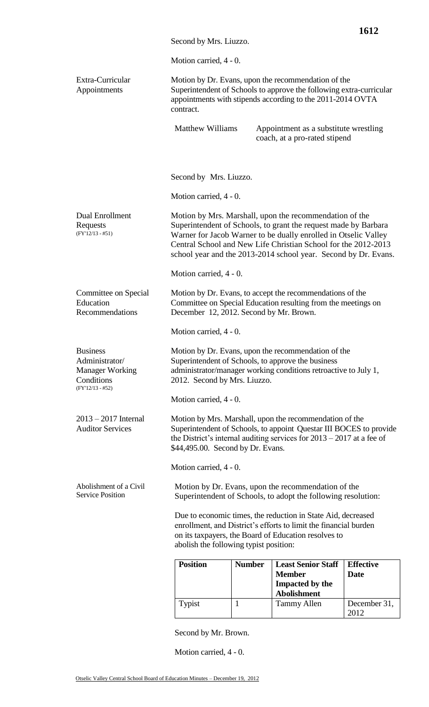| Second by Mrs. Liuzzo.<br>Motion carried, 4 - 0.<br>Extra-Curricular<br>Motion by Dr. Evans, upon the recommendation of the<br>Superintendent of Schools to approve the following extra-curricular<br>Appointments<br>appointments with stipends according to the 2011-2014 OVTA<br>contract.<br><b>Matthew Williams</b><br>Appointment as a substitute wrestling<br>coach, at a pro-rated stipend<br>Second by Mrs. Liuzzo.<br>Motion carried, 4 - 0.<br>Dual Enrollment<br>Motion by Mrs. Marshall, upon the recommendation of the<br>Superintendent of Schools, to grant the request made by Barbara<br>Requests<br>$(FY'12/13 - #51)$<br>Warner for Jacob Warner to be dually enrolled in Otselic Valley<br>Central School and New Life Christian School for the 2012-2013<br>school year and the 2013-2014 school year. Second by Dr. Evans.<br>Motion carried, 4 - 0.<br>Motion by Dr. Evans, to accept the recommendations of the<br>Committee on Special<br>Education<br>Committee on Special Education resulting from the meetings on<br>Recommendations<br>December 12, 2012. Second by Mr. Brown.<br>Motion carried, 4 - 0.<br><b>Business</b><br>Motion by Dr. Evans, upon the recommendation of the<br>Administrator/<br>Superintendent of Schools, to approve the business<br><b>Manager Working</b><br>administrator/manager working conditions retroactive to July 1,<br>Conditions<br>2012. Second by Mrs. Liuzzo.<br>$(FY'12/13 - #52)$<br>Motion carried, 4 - 0.<br>$2013 - 2017$ Internal<br>Motion by Mrs. Marshall, upon the recommendation of the<br>Superintendent of Schools, to appoint Questar III BOCES to provide<br><b>Auditor Services</b><br>the District's internal auditing services for $2013 - 2017$ at a fee of<br>\$44,495.00. Second by Dr. Evans.<br>Motion carried, 4 - 0.<br>Abolishment of a Civil<br>Motion by Dr. Evans, upon the recommendation of the<br><b>Service Position</b><br>Superintendent of Schools, to adopt the following resolution:<br>Due to economic times, the reduction in State Aid, decreased<br>enrollment, and District's efforts to limit the financial burden<br>on its taxpayers, the Board of Education resolves to<br>abolish the following typist position:<br><b>Position</b><br><b>Least Senior Staff</b><br><b>Effective</b><br><b>Number</b><br><b>Member</b><br><b>Date</b><br><b>Impacted by the</b><br><b>Abolishment</b><br>Typist<br>$\mathbf{1}$<br><b>Tammy Allen</b><br>December 31,<br>2012 |  |  |  | 1612 |  |
|-------------------------------------------------------------------------------------------------------------------------------------------------------------------------------------------------------------------------------------------------------------------------------------------------------------------------------------------------------------------------------------------------------------------------------------------------------------------------------------------------------------------------------------------------------------------------------------------------------------------------------------------------------------------------------------------------------------------------------------------------------------------------------------------------------------------------------------------------------------------------------------------------------------------------------------------------------------------------------------------------------------------------------------------------------------------------------------------------------------------------------------------------------------------------------------------------------------------------------------------------------------------------------------------------------------------------------------------------------------------------------------------------------------------------------------------------------------------------------------------------------------------------------------------------------------------------------------------------------------------------------------------------------------------------------------------------------------------------------------------------------------------------------------------------------------------------------------------------------------------------------------------------------------------------------------------------------------------------------------------------------------------------------------------------------------------------------------------------------------------------------------------------------------------------------------------------------------------------------------------------------------------------------------------------------------------------------------------------------------------------------------------------------------------------------------------------------------------------------------|--|--|--|------|--|
|                                                                                                                                                                                                                                                                                                                                                                                                                                                                                                                                                                                                                                                                                                                                                                                                                                                                                                                                                                                                                                                                                                                                                                                                                                                                                                                                                                                                                                                                                                                                                                                                                                                                                                                                                                                                                                                                                                                                                                                                                                                                                                                                                                                                                                                                                                                                                                                                                                                                                     |  |  |  |      |  |
|                                                                                                                                                                                                                                                                                                                                                                                                                                                                                                                                                                                                                                                                                                                                                                                                                                                                                                                                                                                                                                                                                                                                                                                                                                                                                                                                                                                                                                                                                                                                                                                                                                                                                                                                                                                                                                                                                                                                                                                                                                                                                                                                                                                                                                                                                                                                                                                                                                                                                     |  |  |  |      |  |
|                                                                                                                                                                                                                                                                                                                                                                                                                                                                                                                                                                                                                                                                                                                                                                                                                                                                                                                                                                                                                                                                                                                                                                                                                                                                                                                                                                                                                                                                                                                                                                                                                                                                                                                                                                                                                                                                                                                                                                                                                                                                                                                                                                                                                                                                                                                                                                                                                                                                                     |  |  |  |      |  |
|                                                                                                                                                                                                                                                                                                                                                                                                                                                                                                                                                                                                                                                                                                                                                                                                                                                                                                                                                                                                                                                                                                                                                                                                                                                                                                                                                                                                                                                                                                                                                                                                                                                                                                                                                                                                                                                                                                                                                                                                                                                                                                                                                                                                                                                                                                                                                                                                                                                                                     |  |  |  |      |  |
|                                                                                                                                                                                                                                                                                                                                                                                                                                                                                                                                                                                                                                                                                                                                                                                                                                                                                                                                                                                                                                                                                                                                                                                                                                                                                                                                                                                                                                                                                                                                                                                                                                                                                                                                                                                                                                                                                                                                                                                                                                                                                                                                                                                                                                                                                                                                                                                                                                                                                     |  |  |  |      |  |
|                                                                                                                                                                                                                                                                                                                                                                                                                                                                                                                                                                                                                                                                                                                                                                                                                                                                                                                                                                                                                                                                                                                                                                                                                                                                                                                                                                                                                                                                                                                                                                                                                                                                                                                                                                                                                                                                                                                                                                                                                                                                                                                                                                                                                                                                                                                                                                                                                                                                                     |  |  |  |      |  |
|                                                                                                                                                                                                                                                                                                                                                                                                                                                                                                                                                                                                                                                                                                                                                                                                                                                                                                                                                                                                                                                                                                                                                                                                                                                                                                                                                                                                                                                                                                                                                                                                                                                                                                                                                                                                                                                                                                                                                                                                                                                                                                                                                                                                                                                                                                                                                                                                                                                                                     |  |  |  |      |  |
|                                                                                                                                                                                                                                                                                                                                                                                                                                                                                                                                                                                                                                                                                                                                                                                                                                                                                                                                                                                                                                                                                                                                                                                                                                                                                                                                                                                                                                                                                                                                                                                                                                                                                                                                                                                                                                                                                                                                                                                                                                                                                                                                                                                                                                                                                                                                                                                                                                                                                     |  |  |  |      |  |
|                                                                                                                                                                                                                                                                                                                                                                                                                                                                                                                                                                                                                                                                                                                                                                                                                                                                                                                                                                                                                                                                                                                                                                                                                                                                                                                                                                                                                                                                                                                                                                                                                                                                                                                                                                                                                                                                                                                                                                                                                                                                                                                                                                                                                                                                                                                                                                                                                                                                                     |  |  |  |      |  |
|                                                                                                                                                                                                                                                                                                                                                                                                                                                                                                                                                                                                                                                                                                                                                                                                                                                                                                                                                                                                                                                                                                                                                                                                                                                                                                                                                                                                                                                                                                                                                                                                                                                                                                                                                                                                                                                                                                                                                                                                                                                                                                                                                                                                                                                                                                                                                                                                                                                                                     |  |  |  |      |  |
|                                                                                                                                                                                                                                                                                                                                                                                                                                                                                                                                                                                                                                                                                                                                                                                                                                                                                                                                                                                                                                                                                                                                                                                                                                                                                                                                                                                                                                                                                                                                                                                                                                                                                                                                                                                                                                                                                                                                                                                                                                                                                                                                                                                                                                                                                                                                                                                                                                                                                     |  |  |  |      |  |
|                                                                                                                                                                                                                                                                                                                                                                                                                                                                                                                                                                                                                                                                                                                                                                                                                                                                                                                                                                                                                                                                                                                                                                                                                                                                                                                                                                                                                                                                                                                                                                                                                                                                                                                                                                                                                                                                                                                                                                                                                                                                                                                                                                                                                                                                                                                                                                                                                                                                                     |  |  |  |      |  |
|                                                                                                                                                                                                                                                                                                                                                                                                                                                                                                                                                                                                                                                                                                                                                                                                                                                                                                                                                                                                                                                                                                                                                                                                                                                                                                                                                                                                                                                                                                                                                                                                                                                                                                                                                                                                                                                                                                                                                                                                                                                                                                                                                                                                                                                                                                                                                                                                                                                                                     |  |  |  |      |  |
|                                                                                                                                                                                                                                                                                                                                                                                                                                                                                                                                                                                                                                                                                                                                                                                                                                                                                                                                                                                                                                                                                                                                                                                                                                                                                                                                                                                                                                                                                                                                                                                                                                                                                                                                                                                                                                                                                                                                                                                                                                                                                                                                                                                                                                                                                                                                                                                                                                                                                     |  |  |  |      |  |
|                                                                                                                                                                                                                                                                                                                                                                                                                                                                                                                                                                                                                                                                                                                                                                                                                                                                                                                                                                                                                                                                                                                                                                                                                                                                                                                                                                                                                                                                                                                                                                                                                                                                                                                                                                                                                                                                                                                                                                                                                                                                                                                                                                                                                                                                                                                                                                                                                                                                                     |  |  |  |      |  |
|                                                                                                                                                                                                                                                                                                                                                                                                                                                                                                                                                                                                                                                                                                                                                                                                                                                                                                                                                                                                                                                                                                                                                                                                                                                                                                                                                                                                                                                                                                                                                                                                                                                                                                                                                                                                                                                                                                                                                                                                                                                                                                                                                                                                                                                                                                                                                                                                                                                                                     |  |  |  |      |  |
|                                                                                                                                                                                                                                                                                                                                                                                                                                                                                                                                                                                                                                                                                                                                                                                                                                                                                                                                                                                                                                                                                                                                                                                                                                                                                                                                                                                                                                                                                                                                                                                                                                                                                                                                                                                                                                                                                                                                                                                                                                                                                                                                                                                                                                                                                                                                                                                                                                                                                     |  |  |  |      |  |
|                                                                                                                                                                                                                                                                                                                                                                                                                                                                                                                                                                                                                                                                                                                                                                                                                                                                                                                                                                                                                                                                                                                                                                                                                                                                                                                                                                                                                                                                                                                                                                                                                                                                                                                                                                                                                                                                                                                                                                                                                                                                                                                                                                                                                                                                                                                                                                                                                                                                                     |  |  |  |      |  |

Second by Mr. Brown.

Motion carried, 4 - 0.